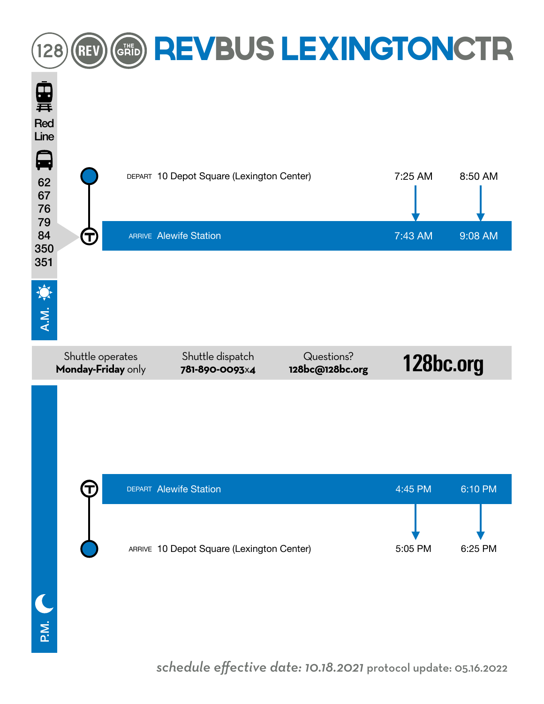

*schedule effective date: 10.18.2021* protocol update: 05.16.2022